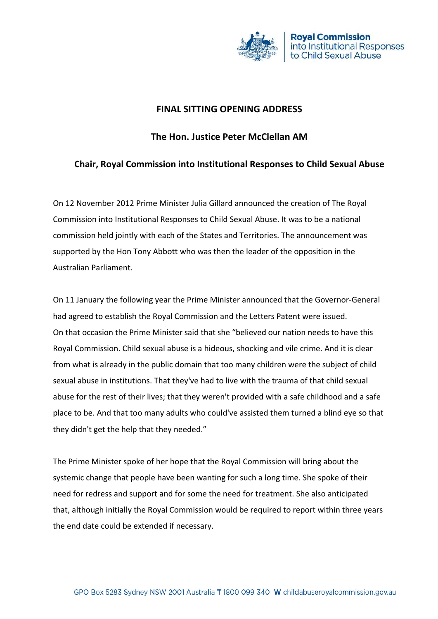

## **FINAL SITTING OPENING ADDRESS**

## **The Hon. Justice Peter McClellan AM**

## **Chair, Royal Commission into Institutional Responses to Child Sexual Abuse**

On 12 November 2012 Prime Minister Julia Gillard announced the creation of The Royal Commission into Institutional Responses to Child Sexual Abuse. It was to be a national commission held jointly with each of the States and Territories. The announcement was supported by the Hon Tony Abbott who was then the leader of the opposition in the Australian Parliament.

On 11 January the following year the Prime Minister announced that the Governor-General had agreed to establish the Royal Commission and the Letters Patent were issued. On that occasion the Prime Minister said that she "believed our nation needs to have this Royal Commission. Child sexual abuse is a hideous, shocking and vile crime. And it is clear from what is already in the public domain that too many children were the subject of child sexual abuse in institutions. That they've had to live with the trauma of that child sexual abuse for the rest of their lives; that they weren't provided with a safe childhood and a safe place to be. And that too many adults who could've assisted them turned a blind eye so that they didn't get the help that they needed."

The Prime Minister spoke of her hope that the Royal Commission will bring about the systemic change that people have been wanting for such a long time. She spoke of their need for redress and support and for some the need for treatment. She also anticipated that, although initially the Royal Commission would be required to report within three years the end date could be extended if necessary.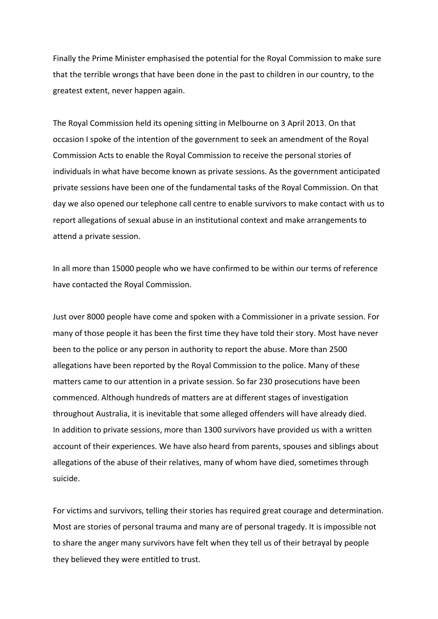Finally the Prime Minister emphasised the potential for the Royal Commission to make sure that the terrible wrongs that have been done in the past to children in our country, to the greatest extent, never happen again.

The Royal Commission held its opening sitting in Melbourne on 3 April 2013. On that occasion I spoke of the intention of the government to seek an amendment of the Royal Commission Acts to enable the Royal Commission to receive the personal stories of individuals in what have become known as private sessions. As the government anticipated private sessions have been one of the fundamental tasks of the Royal Commission. On that day we also opened our telephone call centre to enable survivors to make contact with us to report allegations of sexual abuse in an institutional context and make arrangements to attend a private session.

In all more than 15000 people who we have confirmed to be within our terms of reference have contacted the Royal Commission.

Just over 8000 people have come and spoken with a Commissioner in a private session. For many of those people it has been the first time they have told their story. Most have never been to the police or any person in authority to report the abuse. More than 2500 allegations have been reported by the Royal Commission to the police. Many of these matters came to our attention in a private session. So far 230 prosecutions have been commenced. Although hundreds of matters are at different stages of investigation throughout Australia, it is inevitable that some alleged offenders will have already died. In addition to private sessions, more than 1300 survivors have provided us with a written account of their experiences. We have also heard from parents, spouses and siblings about allegations of the abuse of their relatives, many of whom have died, sometimes through suicide.

For victims and survivors, telling their stories has required great courage and determination. Most are stories of personal trauma and many are of personal tragedy. It is impossible not to share the anger many survivors have felt when they tell us of their betrayal by people they believed they were entitled to trust.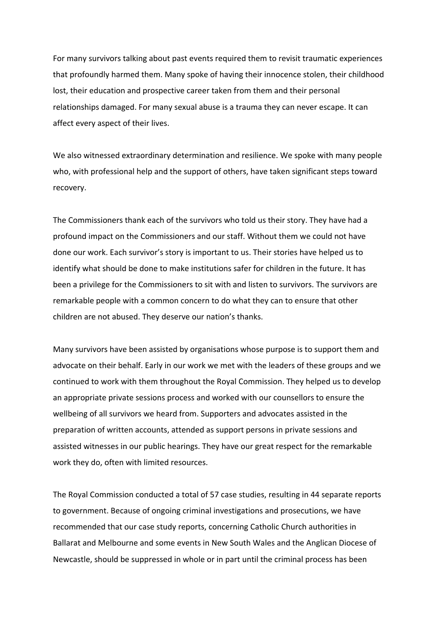For many survivors talking about past events required them to revisit traumatic experiences that profoundly harmed them. Many spoke of having their innocence stolen, their childhood lost, their education and prospective career taken from them and their personal relationships damaged. For many sexual abuse is a trauma they can never escape. It can affect every aspect of their lives.

We also witnessed extraordinary determination and resilience. We spoke with many people who, with professional help and the support of others, have taken significant steps toward recovery.

The Commissioners thank each of the survivors who told us their story. They have had a profound impact on the Commissioners and our staff. Without them we could not have done our work. Each survivor's story is important to us. Their stories have helped us to identify what should be done to make institutions safer for children in the future. It has been a privilege for the Commissioners to sit with and listen to survivors. The survivors are remarkable people with a common concern to do what they can to ensure that other children are not abused. They deserve our nation's thanks.

Many survivors have been assisted by organisations whose purpose is to support them and advocate on their behalf. Early in our work we met with the leaders of these groups and we continued to work with them throughout the Royal Commission. They helped us to develop an appropriate private sessions process and worked with our counsellors to ensure the wellbeing of all survivors we heard from. Supporters and advocates assisted in the preparation of written accounts, attended as support persons in private sessions and assisted witnesses in our public hearings. They have our great respect for the remarkable work they do, often with limited resources.

The Royal Commission conducted a total of 57 case studies, resulting in 44 separate reports to government. Because of ongoing criminal investigations and prosecutions, we have recommended that our case study reports, concerning Catholic Church authorities in Ballarat and Melbourne and some events in New South Wales and the Anglican Diocese of Newcastle, should be suppressed in whole or in part until the criminal process has been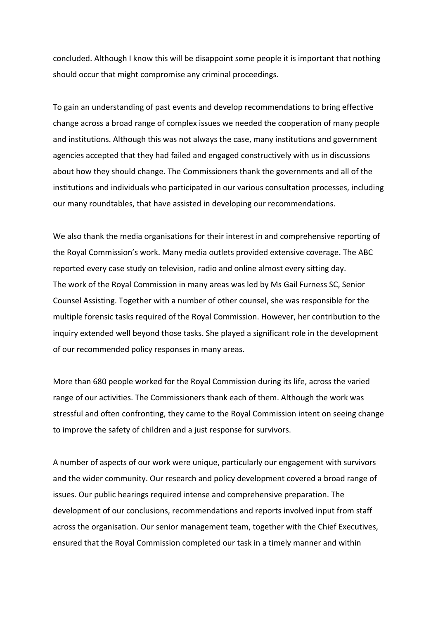concluded. Although I know this will be disappoint some people it is important that nothing should occur that might compromise any criminal proceedings.

To gain an understanding of past events and develop recommendations to bring effective change across a broad range of complex issues we needed the cooperation of many people and institutions. Although this was not always the case, many institutions and government agencies accepted that they had failed and engaged constructively with us in discussions about how they should change. The Commissioners thank the governments and all of the institutions and individuals who participated in our various consultation processes, including our many roundtables, that have assisted in developing our recommendations.

We also thank the media organisations for their interest in and comprehensive reporting of the Royal Commission's work. Many media outlets provided extensive coverage. The ABC reported every case study on television, radio and online almost every sitting day. The work of the Royal Commission in many areas was led by Ms Gail Furness SC, Senior Counsel Assisting. Together with a number of other counsel, she was responsible for the multiple forensic tasks required of the Royal Commission. However, her contribution to the inquiry extended well beyond those tasks. She played a significant role in the development of our recommended policy responses in many areas.

More than 680 people worked for the Royal Commission during its life, across the varied range of our activities. The Commissioners thank each of them. Although the work was stressful and often confronting, they came to the Royal Commission intent on seeing change to improve the safety of children and a just response for survivors.

A number of aspects of our work were unique, particularly our engagement with survivors and the wider community. Our research and policy development covered a broad range of issues. Our public hearings required intense and comprehensive preparation. The development of our conclusions, recommendations and reports involved input from staff across the organisation. Our senior management team, together with the Chief Executives, ensured that the Royal Commission completed our task in a timely manner and within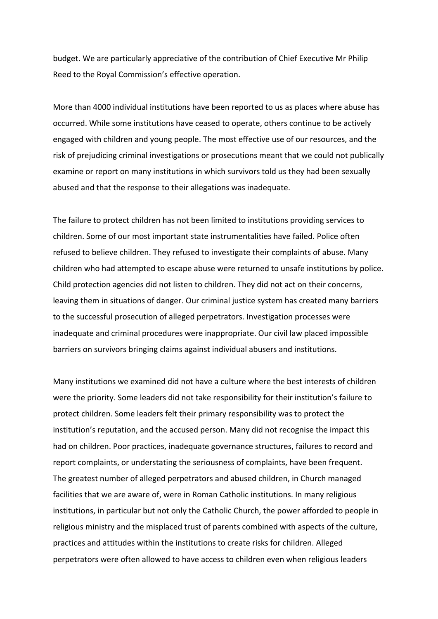budget. We are particularly appreciative of the contribution of Chief Executive Mr Philip Reed to the Royal Commission's effective operation.

More than 4000 individual institutions have been reported to us as places where abuse has occurred. While some institutions have ceased to operate, others continue to be actively engaged with children and young people. The most effective use of our resources, and the risk of prejudicing criminal investigations or prosecutions meant that we could not publically examine or report on many institutions in which survivors told us they had been sexually abused and that the response to their allegations was inadequate.

The failure to protect children has not been limited to institutions providing services to children. Some of our most important state instrumentalities have failed. Police often refused to believe children. They refused to investigate their complaints of abuse. Many children who had attempted to escape abuse were returned to unsafe institutions by police. Child protection agencies did not listen to children. They did not act on their concerns, leaving them in situations of danger. Our criminal justice system has created many barriers to the successful prosecution of alleged perpetrators. Investigation processes were inadequate and criminal procedures were inappropriate. Our civil law placed impossible barriers on survivors bringing claims against individual abusers and institutions.

Many institutions we examined did not have a culture where the best interests of children were the priority. Some leaders did not take responsibility for their institution's failure to protect children. Some leaders felt their primary responsibility was to protect the institution's reputation, and the accused person. Many did not recognise the impact this had on children. Poor practices, inadequate governance structures, failures to record and report complaints, or understating the seriousness of complaints, have been frequent. The greatest number of alleged perpetrators and abused children, in Church managed facilities that we are aware of, were in Roman Catholic institutions. In many religious institutions, in particular but not only the Catholic Church, the power afforded to people in religious ministry and the misplaced trust of parents combined with aspects of the culture, practices and attitudes within the institutions to create risks for children. Alleged perpetrators were often allowed to have access to children even when religious leaders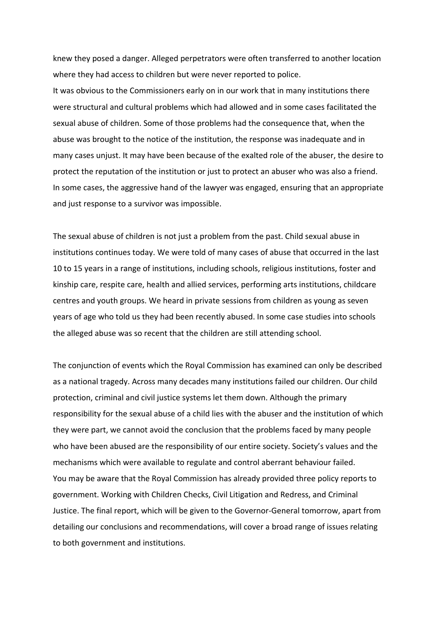knew they posed a danger. Alleged perpetrators were often transferred to another location where they had access to children but were never reported to police.

It was obvious to the Commissioners early on in our work that in many institutions there were structural and cultural problems which had allowed and in some cases facilitated the sexual abuse of children. Some of those problems had the consequence that, when the abuse was brought to the notice of the institution, the response was inadequate and in many cases unjust. It may have been because of the exalted role of the abuser, the desire to protect the reputation of the institution or just to protect an abuser who was also a friend. In some cases, the aggressive hand of the lawyer was engaged, ensuring that an appropriate and just response to a survivor was impossible.

The sexual abuse of children is not just a problem from the past. Child sexual abuse in institutions continues today. We were told of many cases of abuse that occurred in the last 10 to 15 years in a range of institutions, including schools, religious institutions, foster and kinship care, respite care, health and allied services, performing arts institutions, childcare centres and youth groups. We heard in private sessions from children as young as seven years of age who told us they had been recently abused. In some case studies into schools the alleged abuse was so recent that the children are still attending school.

The conjunction of events which the Royal Commission has examined can only be described as a national tragedy. Across many decades many institutions failed our children. Our child protection, criminal and civil justice systems let them down. Although the primary responsibility for the sexual abuse of a child lies with the abuser and the institution of which they were part, we cannot avoid the conclusion that the problems faced by many people who have been abused are the responsibility of our entire society. Society's values and the mechanisms which were available to regulate and control aberrant behaviour failed. You may be aware that the Royal Commission has already provided three policy reports to government. Working with Children Checks, Civil Litigation and Redress, and Criminal Justice. The final report, which will be given to the Governor-General tomorrow, apart from detailing our conclusions and recommendations, will cover a broad range of issues relating to both government and institutions.